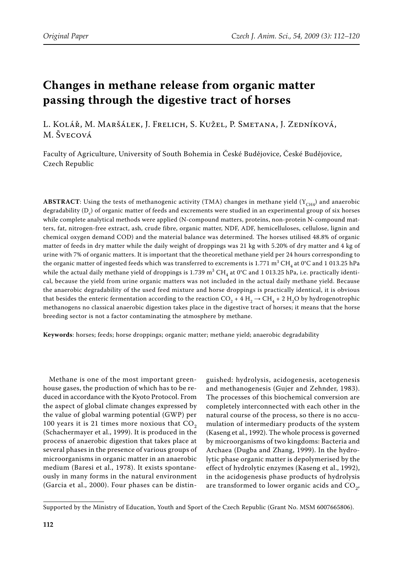# **Changes in methane release from organic matter passing through the digestive tract of horses**

L. Kolář, M. Maršálek, J. Frelich, S. Kužel, P. Smetana, J. Zedníková, M. Švecová

Faculty of Agriculture, University of South Bohemia in České Budějovice, České Budějovice, Czech Republic

**ABSTRACT**: Using the tests of methanogenic activity (TMA) changes in methane yield ( $Y_{CH4}$ ) and anaerobic degradability (D<sub>c</sub>) of organic matter of feeds and excrements were studied in an experimental group of six horses while complete analytical methods were applied (N-compound matters, proteins, non-protein N-compound matters, fat, nitrogen-free extract, ash, crude fibre, organic matter, NDF, ADF, hemicelluloses, cellulose, lignin and chemical oxygen demand COD) and the material balance was determined. The horses utilised 48.8% of organic matter of feeds in dry matter while the daily weight of droppings was 21 kg with 5.20% of dry matter and 4 kg of urine with 7% of organic matters. It is important that the theoretical methane yield per 24 hours corresponding to the organic matter of ingested feeds which was transferred to excrements is 1.771 m<sup>3</sup> CH<sub>4</sub> at 0°C and 1 013.25 hPa while the actual daily methane yield of droppings is 1.739 m $^3$  CH<sub>4</sub> at 0°C and 1 013.25 hPa, i.e. practically identical, because the yield from urine organic matters was not included in the actual daily methane yield. Because the anaerobic degradability of the used feed mixture and horse droppings is practically identical, it is obvious that besides the enteric fermentation according to the reaction  $CO_2 + 4 H_2 \rightarrow CH_4 + 2 H_2O$  by hydrogenotrophic methanogens no classical anaerobic digestion takes place in the digestive tract of horses; it means that the horse breeding sector is not a factor contaminating the atmosphere by methane.

**Keywords**: horses; feeds; horse droppings; organic matter; methane yield; anaerobic degradability

Methane is one of the most important greenhouse gases, the production of which has to be reduced in accordance with the Kyoto Protocol. From the aspect of global climate changes expressed by the value of global warming potential (GWP) per 100 years it is 21 times more noxious that  $CO<sub>2</sub>$ (Schachermayer et al., 1999). It is produced in the process of anaerobic digestion that takes place at several phases in the presence of various groups of microorganisms in organic matter in an anaerobic medium (Baresi et al., 1978). It exists spontaneously in many forms in the natural environment (Garcia et al., 2000). Four phases can be distinguished: hydrolysis, acidogenesis, acetogenesis and methanogenesis (Gujer and Zehnder, 1983). The processes of this biochemical conversion are completely interconnected with each other in the natural course of the process, so there is no accumulation of intermediary products of the system (Kaseng et al., 1992). The whole process is governed by microorganisms of two kingdoms: Bacteria and Archaea (Dugba and Zhang, 1999). In the hydrolytic phase organic matter is depolymerised by the effect of hydrolytic enzymes (Kaseng et al., 1992), in the acidogenesis phase products of hydrolysis are transformed to lower organic acids and CO<sub>2</sub>,

Supported by the Ministry of Education, Youth and Sport of the Czech Republic (Grant No. MSM 6007665806).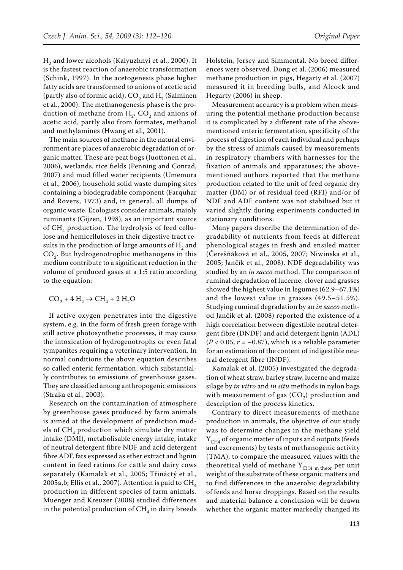$H<sub>2</sub>$  and lower alcohols (Kalyuzhnyi et al., 2000). It is the fastest reaction of anaerobic transformation (Schink, 1997). In the acetogenesis phase higher fatty acids are transformed to anions of acetic acid (partly also of formic acid),  $CO<sub>2</sub>$  and H<sub>2</sub> (Salminen et al., 2000). The methanogenesis phase is the production of methane from  $H<sub>2</sub>$ , CO<sub>2</sub> and anions of acetic acid, partly also from formates, methanol and methylamines (Hwang et al., 2001).

The main sources of methane in the natural environment are places of anaerobic degradation of organic matter. These are peat bogs (Juottonen et al., 2006), wetlands, rice fields (Penning and Conrad, 2007) and mud filled water recipients (Umemura et al., 2006), household solid waste dumping sites containing a biodegradable component (Farquhar and Rovers, 1973) and, in general, all dumps of organic waste. Ecologists consider animals, mainly ruminants (Gijzen, 1998), as an important source of  $CH<sub>4</sub>$  production. The hydrolysis of feed cellulose and hemicelluloses in their digestive tract results in the production of large amounts of  $H_2$  and  $CO<sub>2</sub>$ . But hydrogenotrophic methanogens in this medium contribute to a significant reduction in the volume of produced gases at a 1:5 ratio according to the equation:

$$
\rm CO_2 + 4~H_2 \rightarrow CH_4 + 2~H_2O
$$

If active oxygen penetrates into the digestive system, e.g. in the form of fresh green forage with still active photosynthetic processes, it may cause the intoxication of hydrogenotrophs or even fatal tympanites requiring a veterinary intervention. In normal conditions the above equation describes so called enteric fermentation, which substantially contributes to emissions of greenhouse gases. They are classified among anthropogenic emissions (Straka et al., 2003).

Research on the contamination of atmosphere by greenhouse gases produced by farm animals is aimed at the development of prediction models of  $CH<sub>4</sub>$  production which simulate dry matter intake (DMI), metabolisable energy intake, intake of neutral detergent fibre NDF and acid detergent fibre ADF, fats expressed as ether extract and lignin content in feed rations for cattle and dairy cows separately (Kamalak et al., 2005; Třináctý et al., 2005a,b; Ellis et al., 2007). Attention is paid to  $CH<sub>4</sub>$ production in different species of farm animals. Muenger and Kreuzer (2008) studied differences in the potential production of  $CH<sub>4</sub>$  in dairy breeds

Holstein, Jersey and Simmental. No breed differences were observed. Dong et al. (2006) measured methane production in pigs, Hegarty et al. (2007) measured it in breeding bulls, and Alcock and Hegarty (2006) in sheep.

Measurement accuracy is a problem when measuring the potential methane production because it is complicated by a different rate of the abovementioned enteric fermentation, specificity of the process of digestion of each individual and perhaps by the stress of animals caused by measurements in respiratory chambers with harnesses for the fixation of animals and apparatuses; the abovementioned authors reported that the methane production related to the unit of feed organic dry matter (DM) or of residual feed (RFI) and/or of NDF and ADF content was not stabilised but it varied slightly during experiments conducted in stationary conditions.

Many papers describe the determination of degradability of nutrients from feeds at different phenological stages in fresh and ensiled matter (Čerešňáková et al., 2005, 2007; Niwinska et al., 2005; Jančík et al., 2008). NDF degradability was studied by an *in sacco* method. The comparison of ruminal degradation of lucerne, clover and grasses showed the highest value in legumes (62.9–67.1%) and the lowest value in grasses (49.5–51.5%). Studying ruminal degradation by an *in sacco* method Jančík et al. (2008) reported the existence of a high correlation between digestible neutral detergent fibre (DNDF) and acid detergent lignin (ADL)  $(P < 0.05, r = -0.87)$ , which is a reliable parameter for an estimation of the content of indigestible neutral detergent fibre (INDF).

Kamalak et al. (2005) investigated the degradation of wheat straw, barley straw, lucerne and maize silage by *in vitro* and *in situ* methods in nylon bags with measurement of gas  $(CO<sub>2</sub>)$  production and description of the process kinetics.

Contrary to direct measurements of methane production in animals, the objective of our study was to determine changes in the methane yield  $Y_{CH4}$  of organic matter of inputs and outputs (feeds and excrements) by tests of methanogenic activity (TMA), to compare the measured values with the theoretical yield of methane  $Y_{CH4 m \, theor}$  per unit weight of the substrate of these organic matters and to find differences in the anaerobic degradability of feeds and horse droppings. Based on the results and material balance a conclusion will be drawn whether the organic matter markedly changed its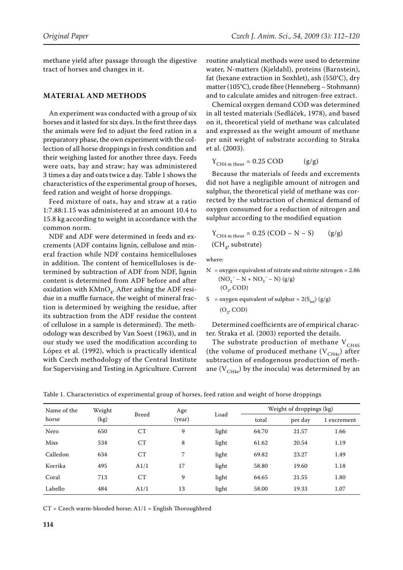methane yield after passage through the digestive tract of horses and changes in it.

## **MATERIAL AND METHODS**

An experiment was conducted with a group of six horses and it lasted for six days. In the first three days the animals were fed to adjust the feed ration in a preparatory phase, the own experiment with the collection of all horse droppings in fresh condition and their weighing lasted for another three days. Feeds were oats, hay and straw; hay was administered 3 times a day and oats twice a day. Table 1 shows the characteristics of the experimental group of horses, feed ration and weight of horse droppings.

Feed mixture of oats, hay and straw at a ratio 1:7.88:1.15 was administered at an amount 10.4 to 15.8 kg according to weight in accordance with the common norm.

NDF and ADF were determined in feeds and excrements (ADF contains lignin, cellulose and mineral fraction while NDF contains hemicelluloses in addition. The content of hemicelluloses is determined by subtraction of ADF from NDF, lignin content is determined from ADF before and after oxidation with  $KMnO<sub>4</sub>$ . After ashing the ADF residue in a muffle furnace, the weight of mineral fraction is determined by weighing the residue, after its subtraction from the ADF residue the content of cellulose in a sample is determined). The methodology was described by Van Soest (1963), and in our study we used the modification according to López et al. (1992), which is practically identical with Czech methodology of the Central Institute for Supervising and Testing in Agriculture. Current

routine analytical methods were used to determine water, N-matters (Kjeldahl), proteins (Barnstein), fat (hexane extraction in Soxhlet), ash (550°C), dry matter (105°C), crude fibre (Henneberg – Stohmann) and to calculate amides and nitrogen-free extract.

Chemical oxygen demand COD was determined in all tested materials (Sedláček, 1978), and based on it, theoretical yield of methane was calculated and expressed as the weight amount of methane per unit weight of substrate according to Straka et al. (2003).

$$
Y_{CH4\ m\ theor} = 0.25\ COD \qquad (g/g)
$$

Because the materials of feeds and excrements did not have a negligible amount of nitrogen and sulphur, the theoretical yield of methane was corrected by the subtraction of chemical demand of oxygen consumed for a reduction of nitrogen and sulphur according to the modified equation

$$
Y_{CH4\ m\ theor} = 0.25 (COD - N - S) \qquad (g/g)
$$
  
(CH<sub>4</sub>, substrate)

where:

- $N =$  oxygen equivalent of nitrate and nitrite nitrogen = 2.86  $(NO_2^{\prime} - N + NO_3^{\prime} - N)(g/g)$  $(O<sub>2</sub>, COD)$
- S = oxygen equivalent of sulphur =  $2(S_{\text{tot}})$  (g/g)  $(O<sub>2</sub>, COD)$

Determined coefficients are of empirical character. Straka et al. (2003) reported the details.

The substrate production of methane  $V_{CH4S}$ (the volume of produced methane  $(V_{CH4c})$  after subtraction of endogenous production of methane  $(V_{CH4e})$  by the inocula) was determined by an

| Name of the<br>horse | Weight<br>(kg) | <b>Breed</b> | Age<br>(year) | Load  | Weight of droppings (kg) |         |             |
|----------------------|----------------|--------------|---------------|-------|--------------------------|---------|-------------|
|                      |                |              |               |       | total                    | per day | 1 excrement |
| Nero                 | 650            | CT           | 9             | light | 64.70                    | 21.57   | 1.66        |
| Miss                 | 534            | CT           | 8             | light | 61.62                    | 20.54   | 1.19        |
| Calledon             | 634            | CT           | 7             | light | 69.82                    | 23.27   | 1.49        |
| Korrika              | 495            | A1/1         | 17            | light | 58.80                    | 19.60   | 1.18        |
| Coral                | 713            | CT           | 9             | light | 64.65                    | 21.55   | 1.80        |
| Labello              | 484            | A1/1         | 13            | light | 58.00                    | 19.33   | 1.07        |

Table 1. Characteristics of experimental group of horses, feed ration and weight of horse droppings

 $CT = Czech$  warm-blooded horse;  $A1/1 =$  English Thoroughbred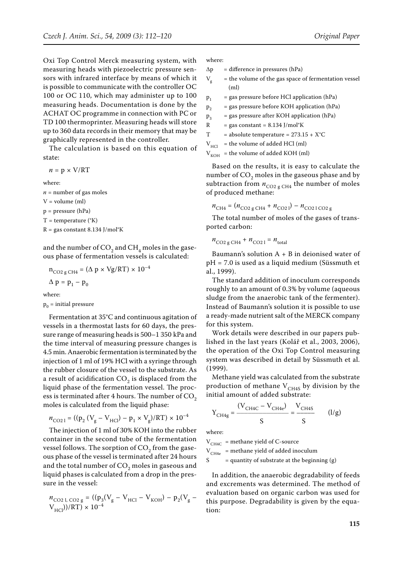Oxi Top Control Merck measuring system, with measuring heads with piezoelectric pressure sensors with infrared interface by means of which it is possible to communicate with the controller OC 100 or OC 110, which may administer up to 100 measuring heads. Documentation is done by the where:

ACHAT OC programme in connection with PC or TD 100 thermoprinter. Measuring heads will store up to 360 data records in their memory that may be graphically represented in the controller.

The calculation is based on this equation of state:

 $n = p \times V/RT$ 

where:

 $n =$  number of gas moles  $V =$  volume (ml) p = pressure (hPa)  $T =$  temperature ( $K$ )

 $R = gas constant 8.134 J/mol<sup>o</sup>K$ 

and the number of  $CO<sub>2</sub>$  and  $CH<sub>4</sub>$  moles in the gaseous phase of fermentation vessels is calculated:

$$
n_{CO2 g CH4} = (\Delta p \times Vg/RT) \times 10^{-4}
$$
  
 
$$
\Delta p = p_1 - p_0
$$

where:

 $p_0$  = initial pressure

Fermentation at 35°C and continuous agitation of vessels in a thermostat lasts for 60 days, the pressure range of measuring heads is 500–1 350 kPa and the time interval of measuring pressure changes is 4.5 min. Anaerobic fermentation is terminated by the injection of 1 ml of 19% HCl with a syringe through the rubber closure of the vessel to the substrate. As a result of acidification  $CO<sub>2</sub>$  is displaced from the liquid phase of the fermentation vessel. The process is terminated after 4 hours. The number of  $CO<sub>2</sub>$ moles is calculated from the liquid phase:

$$
n_{\text{CO21}} = ((\text{p}_2 \left(\text{V}_{\text{g}} - \text{V}_{\text{HCl}}) - \text{p}_1 \times \text{V}_{\text{g}})/\text{RT}\right) \times 10^{-4}
$$

The injection of 1 ml of 30% KOH into the rubber container in the second tube of the fermentation vessel follows. The sorption of  $CO<sub>2</sub>$  from the gaseous phase of the vessel is terminated after 24 hours and the total number of  $CO<sub>2</sub>$  moles in gaseous and liquid phases is calculated from a drop in the pressure in the vessel:

$$
\begin{array}{l} n_{\rm CO2\ l,\ CO2\ g} = ((p_3({\rm V}_g - {\rm V}_{\rm HCl} - {\rm V}_{\rm KOH}) - p_2({\rm V}_g - {\rm V}_{\rm HCl}))/{\rm RT}) \times 10^{-4} \end{array}
$$

 $\Delta p$  = difference in pressures (hPa)

 $V_g$  = the volume of the gas space of fermentation vessel  $(m<sub>l</sub>)$ 

 $p_1$  = gas pressure before HCl application (hPa)

 $p_2$  = gas pressure before KOH application (hPa)

 $p_3$  = gas pressure after KOH application (hPa)

 $R = gas constant = 8.134$  J/mol<sup>o</sup>K

T = absolute temperature =  $273.15 + X^{\circ}C$ 

 $V_{\text{HCl}}$  = the volume of added HCl (ml)

 $V_{KOH}$  = the volume of added KOH (ml)

Based on the results, it is easy to calculate the number of  $CO<sub>2</sub>$  moles in the gaseous phase and by subtraction from  $n_{CO2 \text{ g CH4}}$  the number of moles of produced methane:

 $n_{\text{CH4}} = (n_{\text{CO2 g CH4}} + n_{\text{CO2 l}}) - n_{\text{CO2 l CO2 g}}$ 

The total number of moles of the gases of transported carbon:

 $n_{\text{CO2 g CH4}} + n_{\text{CO21}} = n_{\text{total}}$ 

Baumann's solution  $A + B$  in deionised water of pH = 7.0 is used as a liquid medium (Süssmuth et al., 1999).

The standard addition of inoculum corresponds roughly to an amount of 0.3% by volume (aqueous sludge from the anaerobic tank of the fermenter). Instead of Baumann's solution it is possible to use a ready-made nutrient salt of the MERCK company for this system.

Work details were described in our papers published in the last years (Kolář et al., 2003, 2006), the operation of the Oxi Top Control measuring system was described in detail by Süssmuth et al. (1999).

Methane yield was calculated from the substrate production of methane  $V_{CH4S}$  by division by the initial amount of added substrate:

$$
Y_{CH4g} = \frac{(V_{CH4C} - V_{CH4e})}{S} = \frac{V_{CH4S}}{S}
$$
 (1/g)

where:

 $V_{CH4C}$  = methane yield of C-source

 $V_{CH4e}$  = methane yield of added inoculum

 $S =$  quantity of substrate at the beginning (g)

In addition, the anaerobic degradability of feeds and excrements was determined. The method of evaluation based on organic carbon was used for this purpose. Degradability is given by the equation: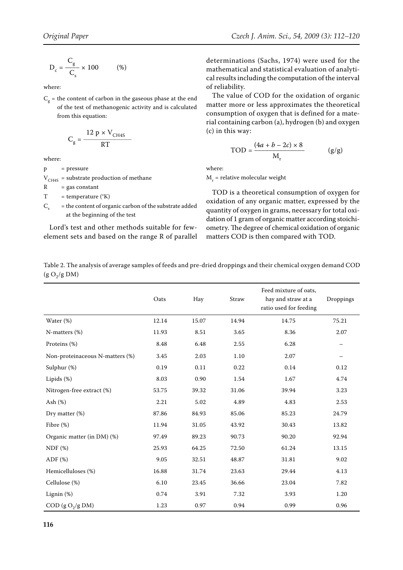$$
D_c = \frac{C_g}{C_s} \times 100 \tag{%}
$$

where:

 $C_g$  = the content of carbon in the gaseous phase at the end of the test of methanogenic activity and is calculated from this equation:

$$
C_g = \frac{12 \text{ p} \times V_{CH4S}}{RT}
$$

where:

 $p = pressure$ 

 $V_{CH4S}$  = substrate production of methane

 $R = gas constant$ 

 $T = temperature (°K)$ 

 $C<sub>s</sub>$  = the content of organic carbon of the substrate added at the beginning of the test

Lord's test and other methods suitable for fewelement sets and based on the range R of parallel determinations (Sachs, 1974) were used for the mathematical and statistical evaluation of analytical results including the computation of the interval of reliability.

The value of COD for the oxidation of organic matter more or less approximates the theoretical consumption of oxygen that is defined for a material containing carbon (a), hydrogen (b) and oxygen (c) in this way:

$$
TOD = \frac{(4a + b - 2c) \times 8}{M_r}
$$
 (g/g)

where:

 $M_r$  = relative molecular weight

TOD is a theoretical consumption of oxygen for oxidation of any organic matter, expressed by the quantity of oxygen in grams, necessary for total oxidation of 1 gram of organic matter according stoichiometry. The degree of chemical oxidation of organic matters COD is then compared with TOD.

| Table 2. The analysis of average samples of feeds and pre-dried droppings and their chemical oxygen demand COD |
|----------------------------------------------------------------------------------------------------------------|
| (g O <sub>2</sub> /g DM)                                                                                       |

|                                 | Oats  | Hay   | Straw | Feed mixture of oats,<br>hay and straw at a<br>ratio used for feeding | Droppings |
|---------------------------------|-------|-------|-------|-----------------------------------------------------------------------|-----------|
| Water (%)                       | 12.14 | 15.07 | 14.94 | 14.75                                                                 | 75.21     |
| N-matters (%)                   | 11.93 | 8.51  | 3.65  | 8.36                                                                  | 2.07      |
| Proteins (%)                    | 8.48  | 6.48  | 2.55  | 6.28                                                                  |           |
| Non-proteinaceous N-matters (%) | 3.45  | 2.03  | 1.10  | 2.07                                                                  |           |
| Sulphur (%)                     | 0.19  | 0.11  | 0.22  | 0.14                                                                  | 0.12      |
| Lipids (%)                      | 8.03  | 0.90  | 1.54  | 1.67                                                                  | 4.74      |
| Nitrogen-free extract (%)       | 53.75 | 39.32 | 31.06 | 39.94                                                                 | 3.23      |
| Ash (%)                         | 2.21  | 5.02  | 4.89  | 4.83                                                                  | 2.53      |
| Dry matter (%)                  | 87.86 | 84.93 | 85.06 | 85.23                                                                 | 24.79     |
| Fibre $(\%)$                    | 11.94 | 31.05 | 43.92 | 30.43                                                                 | 13.82     |
| Organic matter (in DM) (%)      | 97.49 | 89.23 | 90.73 | 90.20                                                                 | 92.94     |
| NDF(%)                          | 25.93 | 64.25 | 72.50 | 61.24                                                                 | 13.15     |
| $ADF$ $(\%)$                    | 9.05  | 32.51 | 48.87 | 31.81                                                                 | 9.02      |
| Hemicelluloses (%)              | 16.88 | 31.74 | 23.63 | 29.44                                                                 | 4.13      |
| Cellulose (%)                   | 6.10  | 23.45 | 36.66 | 23.04                                                                 | 7.82      |
| Lignin (%)                      | 0.74  | 3.91  | 7.32  | 3.93                                                                  | 1.20      |
| COD (g O <sub>2</sub> /g DM)    | 1.23  | 0.97  | 0.94  | 0.99                                                                  | 0.96      |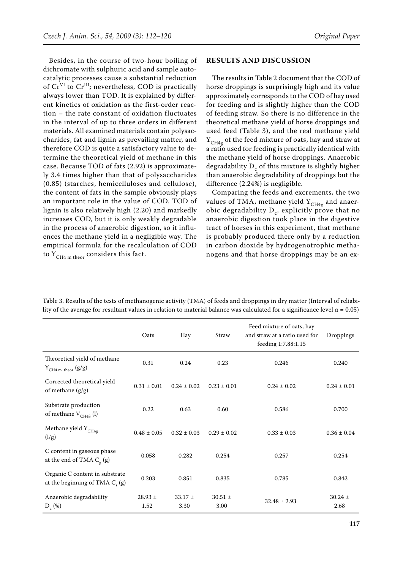Besides, in the course of two-hour boiling of dichromate with sulphuric acid and sample autocatalytic processes cause a substantial reduction of  $Cr<sup>VI</sup>$  to  $Cr<sup>III</sup>$ ; nevertheless, COD is practically always lower than TOD. It is explained by different kinetics of oxidation as the first-order reaction – the rate constant of oxidation fluctuates in the interval of up to three orders in different materials. All examined materials contain polysaccharides, fat and lignin as prevailing matter, and therefore COD is quite a satisfactory value to determine the theoretical yield of methane in this case. Because TOD of fats (2.92) is approximately 3.4 times higher than that of polysaccharides (0.85) (starches, hemicelluloses and cellulose), the content of fats in the sample obviously plays an important role in the value of COD. TOD of lignin is also relatively high (2.20) and markedly increases COD, but it is only weakly degradable in the process of anaerobic digestion, so it influences the methane yield in a negligible way. The empirical formula for the recalculation of COD to  $Y_{CH4 m \, theor}$  considers this fact.

## **RESULTS AND DISCUSSION**

The results in Table 2 document that the COD of horse droppings is surprisingly high and its value approximately corresponds to the COD of hay used for feeding and is slightly higher than the COD of feeding straw. So there is no difference in the theoretical methane yield of horse droppings and used feed (Table 3), and the real methane yield  $Y_{CH4g}$  of the feed mixture of oats, hay and straw at a ratio used for feeding is practically identical with the methane yield of horse droppings. Anaerobic degradability  $D_c$  of this mixture is slightly higher than anaerobic degradability of droppings but the difference (2.24%) is negligible.

Comparing the feeds and excrements, the two values of TMA, methane yield  $Y_{CH4g}$  and anaerobic degradability  $D_c$ , explicitly prove that no anaerobic digestion took place in the digestive tract of horses in this experiment, that methane is probably produced there only by a reduction in carbon dioxide by hydrogenotrophic methanogens and that horse droppings may be an ex-

|                                                                       | Oats                | Hay                 | Straw               | Feed mixture of oats, hay<br>and straw at a ratio used for<br>feeding 1:7.88:1.15 | Droppings           |
|-----------------------------------------------------------------------|---------------------|---------------------|---------------------|-----------------------------------------------------------------------------------|---------------------|
| Theoretical yield of methane<br>$Y_{CH4\ m\ theor}$ (g/g)             | 0.31                | 0.24                | 0.23                | 0.246                                                                             | 0.240               |
| Corrected theoretical yield<br>of methane $(g/g)$                     | $0.31 \pm 0.01$     | $0.24 \pm 0.02$     | $0.23 \pm 0.01$     | $0.24 \pm 0.02$                                                                   | $0.24 \pm 0.01$     |
| Substrate production<br>of methane $V_{CH4S}$ (l)                     | 0.22                | 0.63                | 0.60                | 0.586                                                                             | 0.700               |
| Methane yield $Y_{CH4g}$<br>(l/g)                                     | $0.48 \pm 0.05$     | $0.32 \pm 0.03$     | $0.29 \pm 0.02$     | $0.33 \pm 0.03$                                                                   | $0.36 \pm 0.04$     |
| C content in gaseous phase<br>at the end of TMA $C_g$ (g)             | 0.058               | 0.282               | 0.254               | 0.257                                                                             | 0.254               |
| Organic C content in substrate<br>at the beginning of TMA $C_{s}$ (g) | 0.203               | 0.851               | 0.835               | 0.785                                                                             | 0.842               |
| Anaerobic degradability<br>$D_c$ (%)                                  | $28.93 \pm$<br>1.52 | $33.17 \pm$<br>3.30 | $30.51 \pm$<br>3.00 | $32.48 \pm 2.93$                                                                  | $30.24 \pm$<br>2.68 |

Table 3. Results of the tests of methanogenic activity (TMA) of feeds and droppings in dry matter (Interval of reliability of the average for resultant values in relation to material balance was calculated for a significance level  $α = 0.05$ )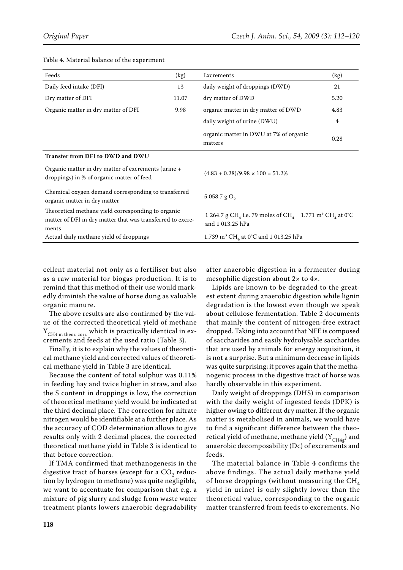| Feeds<br>(kg)                                                                                                             |       | Excrements                                                                                                                   | (kg) |  |
|---------------------------------------------------------------------------------------------------------------------------|-------|------------------------------------------------------------------------------------------------------------------------------|------|--|
| Daily feed intake (DFI)<br>13                                                                                             |       | daily weight of droppings (DWD)                                                                                              | 21   |  |
| Dry matter of DFI                                                                                                         | 11.07 | dry matter of DWD                                                                                                            | 5.20 |  |
| Organic matter in dry matter of DFI                                                                                       | 9.98  | organic matter in dry matter of DWD                                                                                          | 4.83 |  |
|                                                                                                                           |       | daily weight of urine (DWU)                                                                                                  | 4    |  |
|                                                                                                                           |       | organic matter in DWU at 7% of organic<br>matters                                                                            | 0.28 |  |
| Transfer from DFI to DWD and DWU                                                                                          |       |                                                                                                                              |      |  |
| Organic matter in dry matter of excrements (urine +<br>droppings) in % of organic matter of feed                          |       | $(4.83 + 0.28)/9.98 \times 100 = 51.2\%$                                                                                     |      |  |
| Chemical oxygen demand corresponding to transferred<br>organic matter in dry matter                                       |       | 5 058.7 g $O_2$                                                                                                              |      |  |
| Theoretical methane yield corresponding to organic<br>matter of DFI in dry matter that was transferred to excre-<br>ments |       | 1 264.7 g CH <sub>4</sub> i.e. 79 moles of CH <sub>4</sub> = 1.771 m <sup>3</sup> CH <sub>4</sub> at 0°C<br>and 1 013.25 hPa |      |  |
| Actual daily methane yield of droppings                                                                                   |       | 1.739 m <sup>3</sup> CH <sub>4</sub> at 0°C and 1 013.25 hPa                                                                 |      |  |

#### Table 4. Material balance of the experiment

cellent material not only as a fertiliser but also as a raw material for biogas production. It is to remind that this method of their use would markedly diminish the value of horse dung as valuable organic manure.

The above results are also confirmed by the value of the corrected theoretical yield of methane  $Y_{CH4\;m\;theor.\;corr.}$  which is practically identical in excrements and feeds at the used ratio (Table 3).

Finally, it is to explain why the values of theoretical methane yield and corrected values of theoretical methane yield in Table 3 are identical.

Because the content of total sulphur was 0.11% in feeding hay and twice higher in straw, and also the S content in droppings is low, the correction of theoretical methane yield would be indicated at the third decimal place. The correction for nitrate nitrogen would be identifiable at a further place. As the accuracy of COD determination allows to give results only with 2 decimal places, the corrected theoretical methane yield in Table 3 is identical to that before correction.

If TMA confirmed that methanogenesis in the digestive tract of horses (except for a  $CO<sub>2</sub>$  reduction by hydrogen to methane) was quite negligible, we want to accentuate for comparison that e.g. a mixture of pig slurry and sludge from waste water treatment plants lowers anaerobic degradability after anaerobic digestion in a fermenter during mesophilic digestion about 2× to 4×.

Lipids are known to be degraded to the greatest extent during anaerobic digestion while lignin degradation is the lowest even though we speak about cellulose fermentation. Table 2 documents that mainly the content of nitrogen-free extract dropped. Taking into account that NFE is composed of saccharides and easily hydrolysable saccharides that are used by animals for energy acquisition, it is not a surprise. But a minimum decrease in lipids was quite surprising; it proves again that the methanogenic process in the digestive tract of horse was hardly observable in this experiment.

Daily weight of droppings (DHS) in comparison with the daily weight of ingested feeds (DPK) is higher owing to different dry matter. If the organic matter is metabolised in animals, we would have to find a significant difference between the theoretical yield of methane, methane yield  $(Y_{CH4g})$  and anaerobic decomposability (Dc) of excrements and feeds.

The material balance in Table 4 confirms the above findings. The actual daily methane yield of horse droppings (without measuring the  $CH<sub>4</sub>$ yield in urine) is only slightly lower than the theoretical value, corresponding to the organic matter transferred from feeds to excrements. No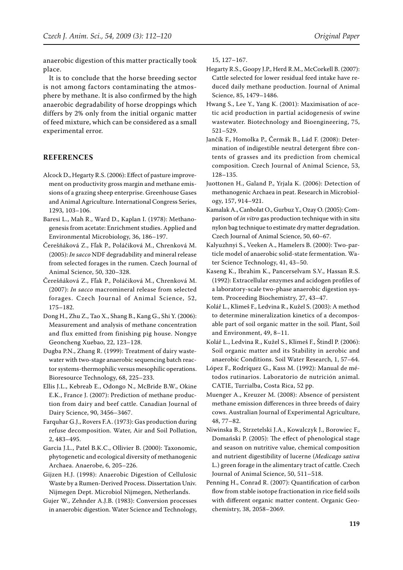anaerobic digestion of this matter practically took place.

It is to conclude that the horse breeding sector is not among factors contaminating the atmosphere by methane. It is also confirmed by the high anaerobic degradability of horse droppings which differs by 2% only from the initial organic matter of feed mixture, which can be considered as a small experimental error.

## **REFERENCES**

- Alcock D., Hegarty R.S. (2006): Effect of pasture improvement on productivity gross margin and methane emissions of a grazing sheep enterprise. Greenhouse Gases and Animal Agriculture. International Congress Series, 1293, 103–106.
- Baresi L., Mah R., Ward D., Kaplan I. (1978): Methanogenesis from acetate: Enrichment studies. Applied and Environmental Microbiology, 36, 186–197.
- Čerešňáková Z., Fľak P., Poláčiková M., Chrenková M. (2005): *In sacco* NDF degradability and mineral release from selected forages in the rumen. Czech Journal of Animal Science, 50, 320–328.
- Čerešňáková Z., Fľak P., Poláčiková M., Chrenková M. (2007): *In sacco* macromineral release from selected forages. Czech Journal of Animal Science, 52, 175–182.
- Dong H., Zhu Z., Tao X., Shang B., Kang G., Shi Y. (2006): Measurement and analysis of methane concentration and flux emitted from finishing pig house. Nongye Geoncheng Xuebao, 22, 123–128.
- Dugba P.N., Zhang R. (1999): Treatment of dairy wastewater with two-stage anaerobic sequencing batch reactor systems-thermophilic versus mesophilic operations. Bioresource Technology, 68, 225–233.
- Ellis J.L., Kebreab E., Odongo N., McBride B.W., Okine E.K., France J. (2007): Prediction of methane production from dairy and beef cattle. Canadian Journal of Dairy Science, 90, 3456–3467.
- Farquhar G.J., Rovers F.A. (1973): Gas production during refuse decomposition. Water, Air and Soil Pollution, 2, 483–495.
- Garcia J.L., Patel B.K.C., Ollivier B. (2000): Taxonomic, phytogenetic and ecological diversity of methanogenic Archaea. Anaerobe, 6, 205–226.
- Gijzen H.J. (1998): Anaerobic Digestion of Cellulosic Waste by a Rumen-Derived Process. Dissertation Univ. Nijmegen Dept. Microbiol Nijmegen, Netherlands.

Gujer W., Zehnder A.J.B. (1983): Conversion processes in anaerobic digestion. Water Science and Technology, 15, 127–167.

- Hegarty R.S., Goopy J.P., Herd R.M., McCorkell B. (2007): Cattle selected for lower residual feed intake have reduced daily methane production. Journal of Animal Science, 85, 1479–1486.
- Hwang S., Lee Y., Yang K. (2001): Maximisation of acetic acid production in partial acidogenesis of swine wastewater. Biotechnology and Bioengineering, 75, 521–529.
- Jančík F., Homolka P., Čermák B., Lád F. (2008): Determination of indigestible neutral detergent fibre contents of grasses and its prediction from chemical composition. Czech Journal of Animal Science, 53, 128–135.
- Juottonen H., Galand P., Yrjala K. (2006): Detection of methanogenic Archaea in peat. Research in Microbiology, 157, 914–921.
- Kamalak A., Canbolat O., Gurbuz Y., Ozay O. (2005): Comparison of *in vitro* gas production technique with in situ nylon bag technique to estimate dry matter degradation. Czech Journal of Animal Science, 50, 60–67.
- Kalyuzhnyi S., Veeken A., Hamelers B. (2000): Two-particle model of anaerobic solid-state fermentation. Water Science Technology, 41, 43–50.
- Kaseng K., Ibrahim K., Pancerselvam S.V., Hassan R.S. (1992): Extracellular enzymes and acidogen profiles of a laboratory-scale two-phase anaerobic digestion system. Proceeding Biochemistry, 27, 43–47.
- Kolář L., Klimeš F., Ledvina R., Kužel S. (2003): A method to determine mineralization kinetics of a decomposable part of soil organic matter in the soil. Plant, Soil and Environment, 49, 8–11.
- Kolář L., Ledvina R., Kužel S., Klimeš F., Štindl P. (2006): Soil organic matter and its Stability in aerobic and anaerobic Conditions. Soil Water Research, 1, 57–64.
- López F., Rodríquez G., Kass M. (1992): Manual de métodos rutinarios. Laboratorio de nutrición animal. CATIE, Turrialba, Costa Rica, 52 pp.
- Muenger A., Kreuzer M. (2008): Absence of persistent methane emission differences in three breeds of dairy cows. Australian Journal of Experimental Agriculture, 48, 77–82.
- Niwinska B., Strzetelski J.A., Kowalczyk J., Borowiec F., Domański P. (2005): The effect of phenological stage and season on nutritive value, chemical composition and nutrient digestibility of lucerne (*Medicago sativa* L.) green forage in the alimentary tract of cattle. Czech Journal of Animal Science, 50, 511–518.
- Penning H., Conrad R. (2007): Quantification of carbon flow from stable isotope fractionation in rice field soils with different organic matter content. Organic Geochemistry, 38, 2058–2069.